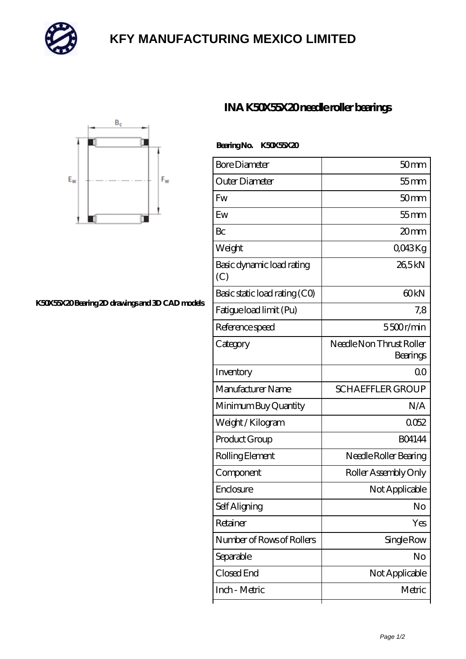

## **[KFY MANUFACTURING MEXICO LIMITED](https://m.mailemotion.tv)**



## **[K50X55X20 Bearing 2D drawings and 3D CAD models](https://m.mailemotion.tv/pic-414468.html)**

## **[INA K50X55X20 needle roller bearings](https://m.mailemotion.tv/bz-414468-ina-k50x55x20-needle-roller-bearings.html)**

| BearingNo. | K50X55X20 |
|------------|-----------|
|            |           |

| <b>Bore Diameter</b>             | 50mm                                 |
|----------------------------------|--------------------------------------|
| Outer Diameter                   | 55 mm                                |
| <b>Fw</b>                        | 50 <sub>mm</sub>                     |
| Ew                               | $55$ mm                              |
| Bc                               | 20mm                                 |
| Weight                           | QO43Kg                               |
| Basic dynamic load rating<br>(C) | 26,5kN                               |
| Basic static load rating (CO)    | 60kN                                 |
| Fatigue load limit (Pu)          | 7,8                                  |
| Reference speed                  | 5500r/min                            |
| Category                         | Needle Non Thrust Roller<br>Bearings |
| Inventory                        | 0 <sup>0</sup>                       |
| Manufacturer Name                | <b>SCHAEFFLER GROUP</b>              |
| Minimum Buy Quantity             | N/A                                  |
| Weight / Kilogram                | 0052                                 |
| Product Group                    | <b>BO4144</b>                        |
| Rolling Element                  | Needle Roller Bearing                |
| Component                        | Roller Assembly Only                 |
| Enclosure                        | Not Applicable                       |
| Self Aligning                    | No                                   |
| Retainer                         | Yes                                  |
| Number of Rows of Rollers        | Single Row                           |
| Separable                        | No                                   |
| Closed End                       | Not Applicable                       |
| Inch - Metric                    | Metric                               |
|                                  |                                      |